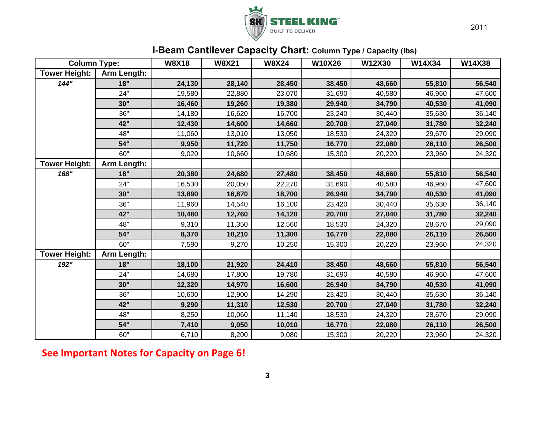

## **I‐Beam Cantilever Capacity Chart: Column Type / Capacity (lbs)**

| <b>Column Type:</b>  |             | <b>W8X18</b> | <b>W8X21</b> | <b>W8X24</b> | <b>W10X26</b> | W12X30 | W14X34 | W14X38 |
|----------------------|-------------|--------------|--------------|--------------|---------------|--------|--------|--------|
| <b>Tower Height:</b> | Arm Length: |              |              |              |               |        |        |        |
| 144"                 | 18"         | 24,130       | 28,140       | 28,450       | 38,450        | 48,660 | 55,810 | 56,540 |
|                      | 24"         | 19,580       | 22,880       | 23,070       | 31,690        | 40,580 | 46,960 | 47,600 |
|                      | 30"         | 16,460       | 19,260       | 19,380       | 29,940        | 34,790 | 40,530 | 41,090 |
|                      | 36"         | 14,180       | 16,620       | 16,700       | 23,240        | 30,440 | 35,630 | 36,140 |
|                      | 42"         | 12,430       | 14,600       | 14,660       | 20,700        | 27,040 | 31,780 | 32,240 |
|                      | 48"         | 11,060       | 13,010       | 13,050       | 18,530        | 24,320 | 29,670 | 29,090 |
|                      | 54"         | 9,950        | 11,720       | 11,750       | 16,770        | 22,080 | 26,110 | 26,500 |
|                      | 60"         | 9,020        | 10,660       | 10,680       | 15,300        | 20,220 | 23,960 | 24,320 |
| <b>Tower Height:</b> | Arm Length: |              |              |              |               |        |        |        |
| 168"                 | 18"         | 20,380       | 24,680       | 27,480       | 38,450        | 48,660 | 55,810 | 56,540 |
|                      | 24"         | 16,530       | 20,050       | 22,270       | 31,690        | 40,580 | 46,960 | 47,600 |
|                      | 30"         | 13,890       | 16,870       | 18,700       | 26,940        | 34,790 | 40,530 | 41,090 |
|                      | 36"         | 11,960       | 14,540       | 16,100       | 23,420        | 30,440 | 35,630 | 36,140 |
|                      | 42"         | 10,480       | 12,760       | 14,120       | 20,700        | 27,040 | 31,780 | 32,240 |
|                      | 48"         | 9,310        | 11,350       | 12,560       | 18,530        | 24,320 | 28,670 | 29,090 |
|                      | 54"         | 8,370        | 10,210       | 11,300       | 16,770        | 22,080 | 26,110 | 26,500 |
|                      | 60"         | 7,590        | 9,270        | 10,250       | 15,300        | 20,220 | 23,960 | 24,320 |
| <b>Tower Height:</b> | Arm Length: |              |              |              |               |        |        |        |
| 192"                 | 18"         | 18,100       | 21,920       | 24,410       | 38,450        | 48,660 | 55,810 | 56,540 |
|                      | 24"         | 14,680       | 17,800       | 19,780       | 31,690        | 40,580 | 46,960 | 47,600 |
|                      | 30"         | 12,320       | 14,970       | 16,600       | 26,940        | 34,790 | 40,530 | 41,090 |
|                      | 36"         | 10,600       | 12,900       | 14,290       | 23,420        | 30,440 | 35,630 | 36,140 |
|                      | 42"         | 9,290        | 11,310       | 12,530       | 20,700        | 27,040 | 31,780 | 32,240 |
|                      | 48"         | 8,250        | 10,060       | 11,140       | 18,530        | 24,320 | 28,670 | 29,090 |
|                      | 54"         | 7,410        | 9,050        | 10,010       | 16,770        | 22,080 | 26,110 | 26,500 |
|                      | 60"         | 6,710        | 8,200        | 9,080        | 15,300        | 20,220 | 23,960 | 24,320 |

**See Important Notes for Capacity on Page 6!**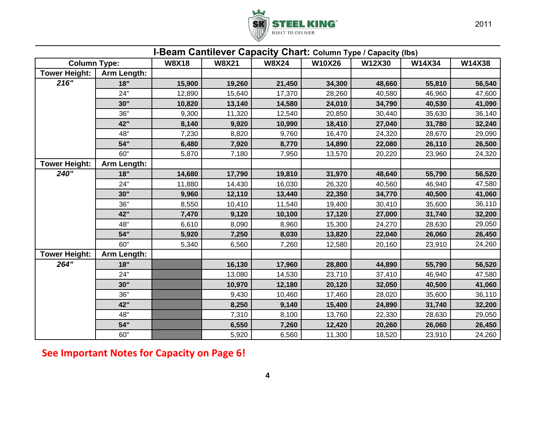

|                      |                    | I-Beam Cantilever Capacity Chart: Column Type / Capacity (Ibs) |              |              |               |        |        |        |
|----------------------|--------------------|----------------------------------------------------------------|--------------|--------------|---------------|--------|--------|--------|
| <b>Column Type:</b>  |                    | <b>W8X18</b>                                                   | <b>W8X21</b> | <b>W8X24</b> | <b>W10X26</b> | W12X30 | W14X34 | W14X38 |
| <b>Tower Height:</b> | Arm Length:        |                                                                |              |              |               |        |        |        |
| 216"                 | 18"                | 15,900                                                         | 19,260       | 21,450       | 34,300        | 48,660 | 55,810 | 56,540 |
|                      | 24"                | 12,890                                                         | 15,640       | 17,370       | 28,260        | 40,580 | 46,960 | 47,600 |
|                      | 30"                | 10,820                                                         | 13,140       | 14,580       | 24,010        | 34,790 | 40,530 | 41,090 |
|                      | 36"                | 9,300                                                          | 11,320       | 12,540       | 20,850        | 30,440 | 35,630 | 36,140 |
|                      | 42"                | 8,140                                                          | 9,920        | 10,990       | 18,410        | 27,040 | 31,780 | 32,240 |
|                      | 48"                | 7,230                                                          | 8,820        | 9,760        | 16,470        | 24,320 | 28,670 | 29,090 |
|                      | 54"                | 6,480                                                          | 7,920        | 8,770        | 14,890        | 22,080 | 26,110 | 26,500 |
|                      | 60"                | 5,870                                                          | 7,180        | 7,950        | 13,570        | 20,220 | 23,960 | 24,320 |
| <b>Tower Height:</b> | <b>Arm Length:</b> |                                                                |              |              |               |        |        |        |
| 240"                 | 18"                | 14,680                                                         | 17,790       | 19,810       | 31,970        | 48,640 | 55,790 | 56,520 |
|                      | 24"                | 11,880                                                         | 14,430       | 16,030       | 26,320        | 40,560 | 46,940 | 47,580 |
|                      | 30"                | 9,960                                                          | 12,110       | 13,440       | 22,350        | 34,770 | 40,500 | 41,060 |
|                      | 36"                | 8,550                                                          | 10,410       | 11,540       | 19,400        | 30,410 | 35,600 | 36,110 |
|                      | 42"                | 7,470                                                          | 9,120        | 10,100       | 17,120        | 27,000 | 31,740 | 32,200 |
|                      | 48"                | 6,610                                                          | 8,090        | 8,960        | 15,300        | 24,270 | 28,630 | 29,050 |
|                      | 54"                | 5,920                                                          | 7,250        | 8,030        | 13,820        | 22,040 | 26,060 | 26,450 |
|                      | 60"                | 5,340                                                          | 6,560        | 7,260        | 12,580        | 20,160 | 23,910 | 24,260 |
| <b>Tower Height:</b> | Arm Length:        |                                                                |              |              |               |        |        |        |
| 264"                 | 18"                |                                                                | 16,130       | 17,960       | 28,800        | 44,890 | 55,790 | 56,520 |
|                      | 24"                |                                                                | 13,080       | 14,530       | 23,710        | 37,410 | 46,940 | 47,580 |
|                      | 30"                |                                                                | 10,970       | 12,180       | 20,120        | 32,050 | 40,500 | 41,060 |
|                      | 36"                |                                                                | 9,430        | 10,460       | 17,460        | 28,020 | 35,600 | 36,110 |
|                      | 42"                |                                                                | 8,250        | 9,140        | 15,400        | 24,890 | 31,740 | 32,200 |
|                      | 48"                |                                                                | 7,310        | 8,100        | 13,760        | 22,330 | 28,630 | 29,050 |
|                      | 54"                |                                                                | 6,550        | 7,260        | 12,420        | 20,260 | 26,060 | 26,450 |
|                      | 60"                |                                                                | 5,920        | 6,560        | 11,300        | 18,520 | 23,910 | 24,260 |

**See Important Notes for Capacity on Page 6!**

4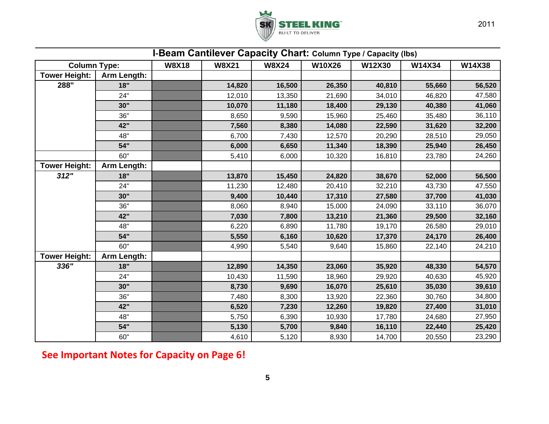

|                      | I-Beam Cantilever Capacity Chart: Column Type / Capacity (lbs) |              |              |              |        |        |        |        |
|----------------------|----------------------------------------------------------------|--------------|--------------|--------------|--------|--------|--------|--------|
| <b>Column Type:</b>  |                                                                | <b>W8X18</b> | <b>W8X21</b> | <b>W8X24</b> | W10X26 | W12X30 | W14X34 | W14X38 |
| <b>Tower Height:</b> | Arm Length:                                                    |              |              |              |        |        |        |        |
| 288"                 | 18"                                                            |              | 14,820       | 16,500       | 26,350 | 40,810 | 55,660 | 56,520 |
|                      | 24"                                                            |              | 12,010       | 13,350       | 21,690 | 34,010 | 46,820 | 47,580 |
|                      | 30"                                                            |              | 10,070       | 11,180       | 18,400 | 29,130 | 40,380 | 41,060 |
|                      | 36"                                                            |              | 8,650        | 9,590        | 15,960 | 25,460 | 35,480 | 36,110 |
|                      | 42"                                                            |              | 7,560        | 8,380        | 14,080 | 22,590 | 31,620 | 32,200 |
|                      | 48"                                                            |              | 6,700        | 7,430        | 12,570 | 20,290 | 28,510 | 29,050 |
|                      | 54"                                                            |              | 6,000        | 6,650        | 11,340 | 18,390 | 25,940 | 26,450 |
|                      | 60"                                                            |              | 5,410        | 6,000        | 10,320 | 16,810 | 23,780 | 24,260 |
| <b>Tower Height:</b> | Arm Length:                                                    |              |              |              |        |        |        |        |
| 312"                 | 18"                                                            |              | 13,870       | 15,450       | 24,820 | 38,670 | 52,000 | 56,500 |
|                      | 24"                                                            |              | 11,230       | 12,480       | 20,410 | 32,210 | 43,730 | 47,550 |
|                      | 30"                                                            |              | 9,400        | 10,440       | 17,310 | 27,580 | 37,700 | 41,030 |
|                      | 36"                                                            |              | 8,060        | 8,940        | 15,000 | 24,090 | 33,110 | 36,070 |
|                      | 42"                                                            |              | 7,030        | 7,800        | 13,210 | 21,360 | 29,500 | 32,160 |
|                      | 48"                                                            |              | 6,220        | 6,890        | 11,780 | 19,170 | 26,580 | 29,010 |
|                      | 54"                                                            |              | 5,550        | 6,160        | 10,620 | 17,370 | 24,170 | 26,400 |
|                      | 60"                                                            |              | 4,990        | 5,540        | 9,640  | 15,860 | 22,140 | 24,210 |
| <b>Tower Height:</b> | Arm Length:                                                    |              |              |              |        |        |        |        |
| 336"                 | 18"                                                            |              | 12,890       | 14,350       | 23,060 | 35,920 | 48,330 | 54,570 |
|                      | 24"                                                            |              | 10,430       | 11,590       | 18,960 | 29,920 | 40,630 | 45,920 |
|                      | 30"                                                            |              | 8,730        | 9,690        | 16,070 | 25,610 | 35,030 | 39,610 |
|                      | 36"                                                            |              | 7,480        | 8,300        | 13,920 | 22,360 | 30,760 | 34,800 |
|                      | 42"                                                            |              | 6,520        | 7,230        | 12,260 | 19,820 | 27,400 | 31,010 |
|                      | 48"                                                            |              | 5,750        | 6,390        | 10,930 | 17,780 | 24,680 | 27,950 |
|                      | 54"                                                            |              | 5,130        | 5,700        | 9,840  | 16,110 | 22,440 | 25,420 |
|                      | 60"                                                            |              | 4,610        | 5,120        | 8,930  | 14,700 | 20,550 | 23,290 |

**See Important Notes for Capacity on Page 6!**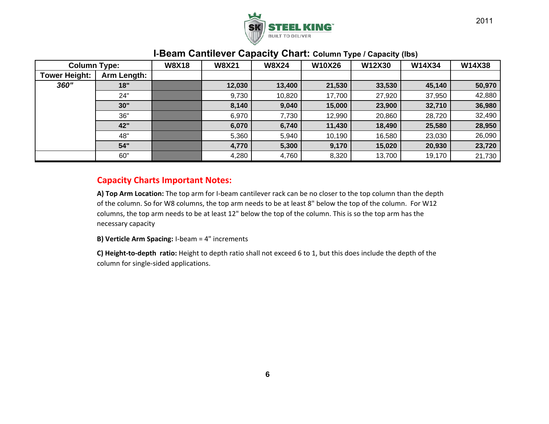

#### **W8X18 W8X21 W8X24 W10X26 W12X30 W14X34 W14X38Arm Length: 18" 12,030 13,400 21,530 33,530 45,140 50,970** 24"" 9,730 | 10,820 | 17,700 | 27,920 | 37,950 | 42,880 **30" 8,140 9,040 15,000 23,900 32,710 36,980** 36"" 6,970 | 7,730 | 12,990 | 20,860 | 28,720 | 32,490 **42" 6,070 6,740 11,430 18,490 25,580 28,950** 48"" 5,360 | 5,940 | 10,190 | 16,580 | 23,030 | 26,090 **54" 4,770 5,300 9,170 15,020 20,930 23,720** 60"" | 3,700 | 4,280 | 4,760 | 8,320 | 13,700 | 19,170 | 21,730 | **Tower Height:** *360"***Column Type:**

### **I‐Beam Cantilever Capacity Chart: Column Type / Capacity (lbs)**

#### **Capacity Charts Important Notes:**

**A) Top Arm Location:** The top arm for I‐beam cantilever rack can be no closer to the top column than the depth of the column. So for W8 columns, the top arm needs to be at least 8" below the top of the column. For W12 columns, the top arm needs to be at least 12" below the top of the column. This is so the top arm has the necessary capacity

**B) Verticle Arm Spacing:** I‐beam <sup>=</sup> 4" increments

**C) Height‐to‐depth ratio:** Height to depth ratio shall not exceed 6 to 1, but this does include the depth of the column for single‐sided applications.